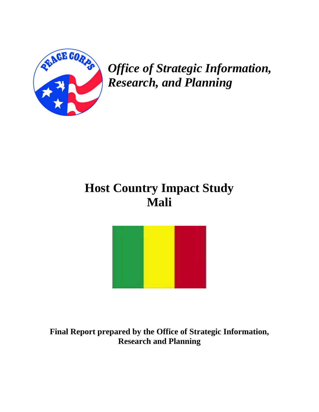

*Office of Strategic Information, Research, and Planning* 

# **Host Country Impact Study Mali**



**Final Report prepared by the Office of Strategic Information, Research and Planning**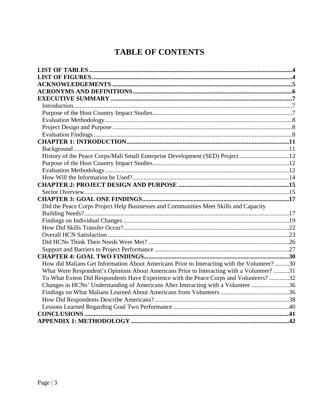## **TABLE OF CONTENTS**

| History of the Peace Corps/Mali Small Enterprise Development (SED) Project12                |  |
|---------------------------------------------------------------------------------------------|--|
|                                                                                             |  |
|                                                                                             |  |
|                                                                                             |  |
|                                                                                             |  |
|                                                                                             |  |
|                                                                                             |  |
| Did the Peace Corps Project Help Businesses and Communities Meet Skills and Capacity        |  |
|                                                                                             |  |
|                                                                                             |  |
|                                                                                             |  |
|                                                                                             |  |
|                                                                                             |  |
|                                                                                             |  |
|                                                                                             |  |
| How did Malians Get Information About Americans Prior to Interacting with the Volunteer? 30 |  |
| What Were Respondent's Opinions About Americans Prior to Interacting with a Volunteer? 31   |  |
| To What Extent Did Respondents Have Experience with the Peace Corps and Volunteers?32       |  |
| Changes in HCNs' Understanding of Americans After Interacting with a Volunteer 36           |  |
|                                                                                             |  |
|                                                                                             |  |
|                                                                                             |  |
|                                                                                             |  |
|                                                                                             |  |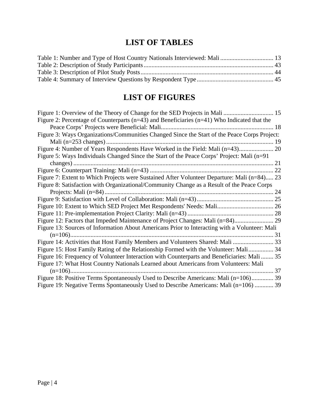## **LIST OF TABLES**

<span id="page-3-0"></span>

## **LIST OF FIGURES**

| Figure 2: Percentage of Counterparts ( $n=43$ ) and Beneficiaries ( $n=41$ ) Who Indicated that the |    |
|-----------------------------------------------------------------------------------------------------|----|
|                                                                                                     | 18 |
| Figure 3: Ways Organizations/Communities Changed Since the Start of the Peace Corps Project:        |    |
|                                                                                                     |    |
| Figure 4: Number of Years Respondents Have Worked in the Field: Mali (n=43) 20                      |    |
| Figure 5: Ways Individuals Changed Since the Start of the Peace Corps' Project: Mali (n=91)         |    |
|                                                                                                     |    |
|                                                                                                     |    |
| Figure 7: Extent to Which Projects were Sustained After Volunteer Departure: Mali (n=84) 23         |    |
| Figure 8: Satisfaction with Organizational/Community Change as a Result of the Peace Corps          |    |
|                                                                                                     | 24 |
|                                                                                                     |    |
|                                                                                                     |    |
|                                                                                                     |    |
| Figure 12: Factors that Impeded Maintenance of Project Changes: Mali (n=84)                         |    |
| Figure 13: Sources of Information About Americans Prior to Interacting with a Volunteer: Mali       |    |
|                                                                                                     |    |
| Figure 14: Activities that Host Family Members and Volunteers Shared: Mali  33                      |    |
| Figure 15: Host Family Rating of the Relationship Formed with the Volunteer: Mali 34                |    |
| Figure 16: Frequency of Volunteer Interaction with Counterparts and Beneficiaries: Mali  35         |    |
| Figure 17: What Host Country Nationals Learned about Americans from Volunteers: Mali                |    |
|                                                                                                     |    |
| Figure 18: Positive Terms Spontaneously Used to Describe Americans: Mali (n=106) 39                 |    |
| Figure 19: Negative Terms Spontaneously Used to Describe Americans: Mali (n=106)  39                |    |
|                                                                                                     |    |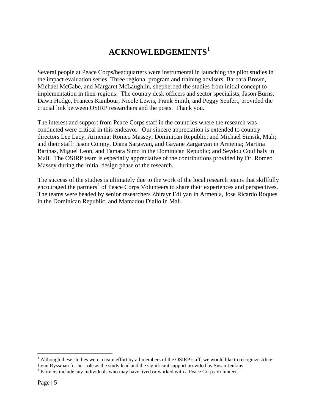## **ACKNOWLEDGEMENTS[1](#page-4-1)**

<span id="page-4-0"></span>Several people at Peace Corps/headquarters were instrumental in launching the pilot studies in the impact evaluation series. Three regional program and training advisers, Barbara Brown, Michael McCabe, and Margaret McLaughlin, shepherded the studies from initial concept to implementation in their regions. The country desk officers and sector specialists, Jason Burns, Dawn Hodge, Frances Kambour, Nicole Lewis, Frank Smith, and Peggy Seufert, provided the crucial link between OSIRP researchers and the posts. Thank you.

The interest and support from Peace Corps staff in the countries where the research was conducted were critical in this endeavor. Our sincere appreciation is extended to country directors Lee Lacy, Armenia; Romeo Massey, Dominican Republic; and Michael Simsik, Mali; and their staff: Jason Compy, Diana Sargsyan, and Gayane Zargaryan in Armenia; Martina Barinas, Miguel Leon, and Tamara Simo in the Dominican Republic; and Seydou Coulibaly in Mali. The OSIRP team is especially appreciative of the contributions provided by Dr. Romeo Massey during the initial design phase of the research.

The success of the studies is ultimately due to the work of the local research teams that skillfully encouraged the partners<sup>[2](#page-4-2)</sup> of Peace Corps Volunteers to share their experiences and perspectives. The teams were headed by senior researchers Zhirayr Edilyan in Armenia, Jose Ricardo Roques in the Dominican Republic, and Mamadou Diallo in Mali.

1

<span id="page-4-1"></span> $1$  Although these studies were a team effort by all members of the OSIRP staff, we would like to recognize Alice-Lynn Ryssman for her role as the study lead and the significant support provided by Susan Jenkins. 2

<span id="page-4-2"></span><sup>&</sup>lt;sup>2</sup> Partners include any individuals who may have lived or worked with a Peace Corps Volunteer.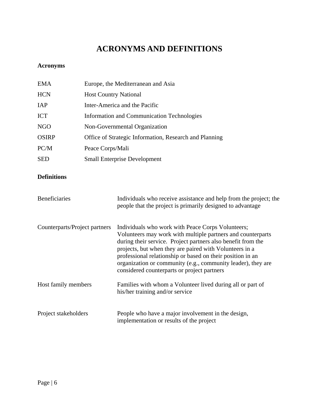## **ACRONYMS AND DEFINITIONS**

### <span id="page-5-0"></span>**Acronyms**

| <b>EMA</b>   | Europe, the Mediterranean and Asia                     |
|--------------|--------------------------------------------------------|
| <b>HCN</b>   | <b>Host Country National</b>                           |
| <b>IAP</b>   | Inter-America and the Pacific                          |
| <b>ICT</b>   | Information and Communication Technologies             |
| NGO          | Non-Governmental Organization                          |
| <b>OSIRP</b> | Office of Strategic Information, Research and Planning |
| PC/M         | Peace Corps/Mali                                       |
| <b>SED</b>   | <b>Small Enterprise Development</b>                    |

### **Definitions**

| <b>Beneficiaries</b>          | Individuals who receive assistance and help from the project; the<br>people that the project is primarily designed to advantage                                                                                                                                                                                                                                                                                          |
|-------------------------------|--------------------------------------------------------------------------------------------------------------------------------------------------------------------------------------------------------------------------------------------------------------------------------------------------------------------------------------------------------------------------------------------------------------------------|
| Counterparts/Project partners | Individuals who work with Peace Corps Volunteers;<br>Volunteers may work with multiple partners and counterparts<br>during their service. Project partners also benefit from the<br>projects, but when they are paired with Volunteers in a<br>professional relationship or based on their position in an<br>organization or community (e.g., community leader), they are<br>considered counterparts or project partners |
| Host family members           | Families with whom a Volunteer lived during all or part of<br>his/her training and/or service                                                                                                                                                                                                                                                                                                                            |
| Project stakeholders          | People who have a major involvement in the design,<br>implementation or results of the project                                                                                                                                                                                                                                                                                                                           |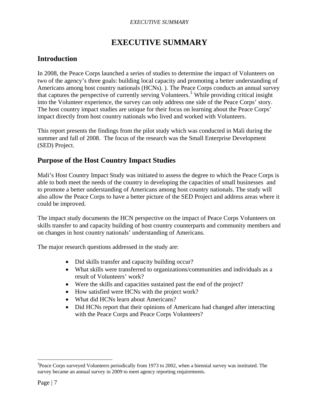#### *EXECUTIVE SUMMARY*

## **EXECUTIVE SUMMARY**

### <span id="page-6-0"></span>**Introduction**

In 2008, the Peace Corps launched a series of studies to determine the impact of Volunteers on two of the agency's three goals: building local capacity and promoting a better understanding of Americans among host country nationals (HCNs). ). The Peace Corps conducts an annual survey that captures the perspective of currently serving Volunteers.<sup>[3](#page-6-1)</sup> While providing critical insight into the Volunteer experience, the survey can only address one side of the Peace Corps' story. The host country impact studies are unique for their focus on learning about the Peace Corps' impact directly from host country nationals who lived and worked with Volunteers.

This report presents the findings from the pilot study which was conducted in Mali during the summer and fall of 2008. The focus of the research was the Small Enterprise Development (SED) Project.

### **Purpose of the Host Country Impact Studies**

Mali's Host Country Impact Study was initiated to assess the degree to which the Peace Corps is able to both meet the needs of the country in developing the capacities of small businesses and to promote a better understanding of Americans among host country nationals. The study will also allow the Peace Corps to have a better picture of the SED Project and address areas where it could be improved.

The impact study documents the HCN perspective on the impact of Peace Corps Volunteers on skills transfer to and capacity building of host country counterparts and community members and on changes in host country nationals' understanding of Americans.

The major research questions addressed in the study are:

- Did skills transfer and capacity building occur?
- What skills were transferred to organizations/communities and individuals as a result of Volunteers' work?
- Were the skills and capacities sustained past the end of the project?
- How satisfied were HCNs with the project work?
- What did HCNs learn about Americans?
- Did HCNs report that their opinions of Americans had changed after interacting with the Peace Corps and Peace Corps Volunteers?

1

<span id="page-6-1"></span><sup>&</sup>lt;sup>3</sup>Peace Corps surveyed Volunteers periodically from 1973 to 2002, when a biennial survey was instituted. The survey became an annual survey in 2009 to meet agency reporting requirements.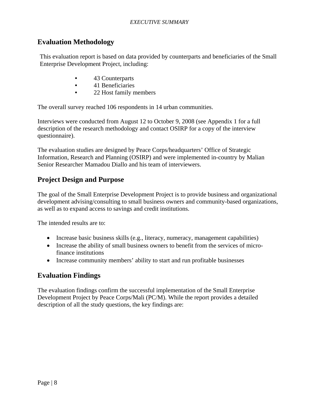### <span id="page-7-0"></span>**Evaluation Methodology**

This evaluation report is based on data provided by counterparts and beneficiaries of the Small Enterprise Development Project, including:

- 43 Counterparts
- 41 Beneficiaries
- 22 Host family members

The overall survey reached 106 respondents in 14 urban communities.

Interviews were conducted from August 12 to October 9, 2008 (see Appendix 1 for a full description of the research methodology and contact OSIRP for a copy of the interview questionnaire).

The evaluation studies are designed by Peace Corps/headquarters' Office of Strategic Information, Research and Planning (OSIRP) and were implemented in-country by Malian Senior Researcher Mamadou Diallo and his team of interviewers.

### **Project Design and Purpose**

The goal of the Small Enterprise Development Project is to provide business and organizational development advising/consulting to small business owners and community-based organizations, as well as to expand access to savings and credit institutions.

The intended results are to:

- Increase basic business skills (e.g., literacy, numeracy, management capabilities)
- Increase the ability of small business owners to benefit from the services of microfinance institutions
- Increase community members' ability to start and run profitable businesses

### **Evaluation Findings**

The evaluation findings confirm the successful implementation of the Small Enterprise Development Project by Peace Corps/Mali (PC/M). While the report provides a detailed description of all the study questions, the key findings are: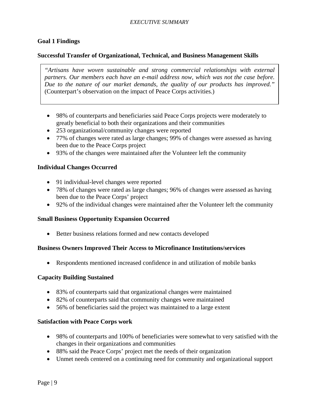### **Goal 1 Findings**

### **Successful Transfer of Organizational, Technical, and Business Management Skills**

*"Artisans have woven sustainable and strong commercial relationships with external partners. Our members each have an e-mail address now, which was not the case before. Due to the nature of our market demands, the quality of our products has improved."*  (Counterpart's observation on the impact of Peace Corps activities.)

- 98% of counterparts and beneficiaries said Peace Corps projects were moderately to greatly beneficial to both their organizations and their communities
- 253 organizational/community changes were reported
- 77% of changes were rated as large changes; 99% of changes were assessed as having been due to the Peace Corps project
- 93% of the changes were maintained after the Volunteer left the community

### **Individual Changes Occurred**

- 91 individual-level changes were reported
- 78% of changes were rated as large changes; 96% of changes were assessed as having been due to the Peace Corps' project
- 92% of the individual changes were maintained after the Volunteer left the community

#### **Small Business Opportunity Expansion Occurred**

• Better business relations formed and new contacts developed

#### **Business Owners Improved Their Access to Microfinance Institutions/services**

• Respondents mentioned increased confidence in and utilization of mobile banks

#### **Capacity Building Sustained**

- 83% of counterparts said that organizational changes were maintained
- 82% of counterparts said that community changes were maintained
- 56% of beneficiaries said the project was maintained to a large extent

#### **Satisfaction with Peace Corps work**

- 98% of counterparts and 100% of beneficiaries were somewhat to very satisfied with the changes in their organizations and communities
- 88% said the Peace Corps' project met the needs of their organization
- Unmet needs centered on a continuing need for community and organizational support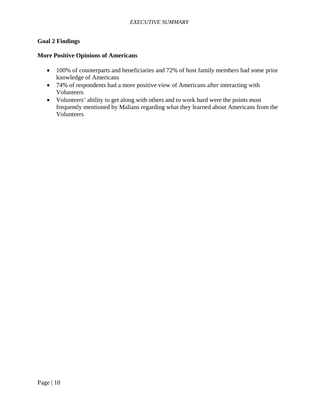### **Goal 2 Findings**

### **More Positive Opinions of Americans**

- 100% of counterparts and beneficiaries and 72% of host family members had some prior knowledge of Americans
- 74% of respondents had a more positive view of Americans after interacting with Volunteers
- Volunteers' ability to get along with others and to work hard were the points most frequently mentioned by Malians regarding what they learned about Americans from the Volunteers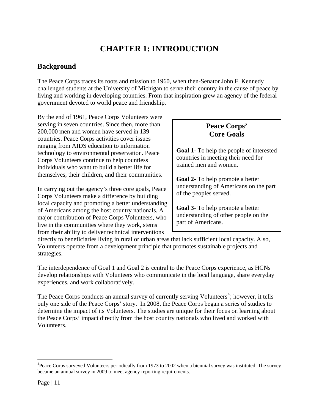## **CHAPTER 1: INTRODUCTION**

### <span id="page-10-0"></span>**Background**

The Peace Corps traces its roots and mission to 1960, when then-Senator John F. Kennedy challenged students at the University of Michigan to serve their country in the cause of peace by living and working in developing countries. From that inspiration grew an agency of the federal government devoted to world peace and friendship.

By the end of 1961, Peace Corps Volunteers were serving in seven countries. Since then, more than 200,000 men and women have served in 139 countries. Peace Corps activities cover issues ranging from AIDS education to information technology to environmental preservation. Peace Corps Volunteers continue to help countless individuals who want to build a better life for themselves, their children, and their communities.

In carrying out the agency's three core goals, Peace Corps Volunteers make a difference by building local capacity and promoting a better understanding of Americans among the host country nationals. A major contribution of Peace Corps Volunteers, who live in the communities where they work, stems from their ability to deliver technical interventions

### **Peace Corps' Core Goals**

**Goal 1**- To help the people of interested countries in meeting their need for trained men and women.

**Goal 2**- To help promote a better understanding of Americans on the part of the peoples served.

**Goal 3**- To help promote a better understanding of other people on the part of Americans.

directly to beneficiaries living in rural or urban areas that lack sufficient local capacity. Also, Volunteers operate from a development principle that promotes sustainable projects and strategies.

The interdependence of Goal 1 and Goal 2 is central to the Peace Corps experience, as HCNs develop relationships with Volunteers who communicate in the local language, share everyday experiences, and work collaboratively.

The Peace Corps conducts an annual survey of currently serving Volunteers<sup>[4](#page-10-1)</sup>; however, it tells only one side of the Peace Corps' story. In 2008, the Peace Corps began a series of studies to determine the impact of its Volunteers. The studies are unique for their focus on learning about the Peace Corps' impact directly from the host country nationals who lived and worked with Volunteers.

 $\overline{a}$ 

<span id="page-10-1"></span><sup>&</sup>lt;sup>4</sup>Peace Corps surveyed Volunteers periodically from 1973 to 2002 when a biennial survey was instituted. The survey became an annual survey in 2009 to meet agency reporting requirements.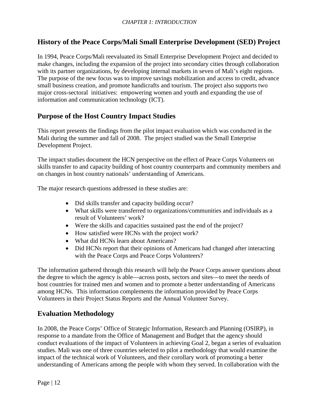### <span id="page-11-0"></span>**History of the Peace Corps/Mali Small Enterprise Development (SED) Project**

In 1994, Peace Corps/Mali reevaluated its Small Enterprise Development Project and decided to make changes, including the expansion of the project into secondary cities through collaboration with its partner organizations, by developing internal markets in seven of Mali's eight regions. The purpose of the new focus was to improve savings mobilization and access to credit, advance small business creation, and promote handicrafts and tourism. The project also supports two major cross-sectoral initiatives: empowering women and youth and expanding the use of information and communication technology (ICT).

### **Purpose of the Host Country Impact Studies**

This report presents the findings from the pilot impact evaluation which was conducted in the Mali during the summer and fall of 2008. The project studied was the Small Enterprise Development Project.

The impact studies document the HCN perspective on the effect of Peace Corps Volunteers on skills transfer to and capacity building of host country counterparts and community members and on changes in host country nationals' understanding of Americans.

The major research questions addressed in these studies are:

- Did skills transfer and capacity building occur?
- What skills were transferred to organizations/communities and individuals as a result of Volunteers' work?
- Were the skills and capacities sustained past the end of the project?
- How satisfied were HCNs with the project work?
- What did HCNs learn about Americans?
- Did HCNs report that their opinions of Americans had changed after interacting with the Peace Corps and Peace Corps Volunteers?

The information gathered through this research will help the Peace Corps answer questions about the degree to which the agency is able—across posts, sectors and sites—to meet the needs of host countries for trained men and women and to promote a better understanding of Americans among HCNs. This information complements the information provided by Peace Corps Volunteers in their Project Status Reports and the Annual Volunteer Survey.

### **Evaluation Methodology**

In 2008, the Peace Corps' Office of Strategic Information, Research and Planning (OSIRP), in response to a mandate from the Office of Management and Budget that the agency should conduct evaluations of the impact of Volunteers in achieving Goal 2, began a series of evaluation studies. Mali was one of three countries selected to pilot a methodology that would examine the impact of the technical work of Volunteers, and their corollary work of promoting a better understanding of Americans among the people with whom they served. In collaboration with the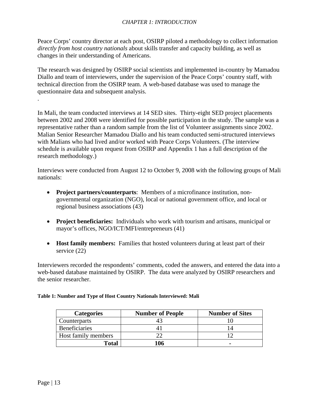<span id="page-12-0"></span>Peace Corps' country director at each post, OSIRP piloted a methodology to collect information *directly from host country nationals* about skills transfer and capacity building, as well as changes in their understanding of Americans.

The research was designed by OSIRP social scientists and implemented in-country by Mamadou Diallo and team of interviewers, under the supervision of the Peace Corps' country staff, with technical direction from the OSIRP team. A web-based database was used to manage the questionnaire data and subsequent analysis.

In Mali, the team conducted interviews at 14 SED sites. Thirty-eight SED project placements between 2002 and 2008 were identified for possible participation in the study. The sample was a representative rather than a random sample from the list of Volunteer assignments since 2002. Malian Senior Researcher Mamadou Diallo and his team conducted semi-structured interviews with Malians who had lived and/or worked with Peace Corps Volunteers. (The interview schedule is available upon request from OSIRP and Appendix 1 has a full description of the research methodology.)

Interviews were conducted from August 12 to October 9, 2008 with the following groups of Mali nationals:

- **Project partners/counterparts**: Members of a microfinance institution, nongovernmental organization (NGO), local or national government office, and local or regional business associations (43)
- **Project beneficiaries:** Individuals who work with tourism and artisans, municipal or mayor's offices, NGO/ICT/MFI/entrepreneurs (41)
- **Host family members:** Families that hosted volunteers during at least part of their service (22)

Interviewers recorded the respondents' comments, coded the answers, and entered the data into a web-based database maintained by OSIRP. The data were analyzed by OSIRP researchers and the senior researcher.

| <b>Categories</b>    | <b>Number of People</b> | <b>Number of Sites</b> |  |
|----------------------|-------------------------|------------------------|--|
| Counterparts         |                         |                        |  |
| <b>Beneficiaries</b> |                         |                        |  |
| Host family members  |                         |                        |  |
| Total                | 116                     |                        |  |

#### **Table 1: Number and Type of Host Country Nationals Interviewed: Mali**

.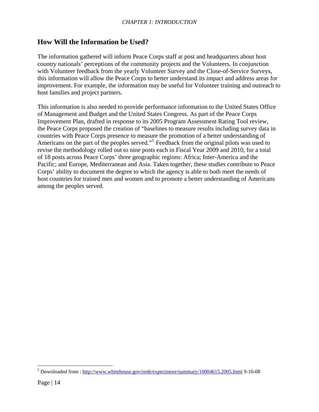### <span id="page-13-0"></span>**How Will the Information be Used?**

The information gathered will inform Peace Corps staff at post and headquarters about host country nationals' perceptions of the community projects and the Volunteers. In conjunction with Volunteer feedback from the yearly Volunteer Survey and the Close-of-Service Surveys, this information will allow the Peace Corps to better understand its impact and address areas for improvement. For example, the information may be useful for Volunteer training and outreach to host families and project partners.

This information is also needed to provide performance information to the United States Office of Management and Budget and the United States Congress. As part of the Peace Corps Improvement Plan, drafted in response to its 2005 Program Assessment Rating Tool review, the Peace Corps proposed the creation of "baselines to measure results including survey data in countries with Peace Corps presence to measure the promotion of a better understanding of Americans on the part of the peoples served."<sup>[5](#page-13-1)</sup> Feedback from the original pilots was used to revise the methodology rolled out to nine posts each in Fiscal Year 2009 and 2010, for a total of 18 posts across Peace Corps' three geographic regions: Africa; Inter-America and the Pacific; and Europe, Mediterranean and Asia. Taken together, these studies contribute to Peace Corps' ability to document the degree to which the agency is able to both meet the needs of host countries for trained men and women and to promote a better understanding of Americans among the peoples served.

 $\overline{a}$ 

<span id="page-13-1"></span><sup>&</sup>lt;sup>5</sup> Downloaded from : <http://www.whitehouse.gov/omb/expectmore/summary/10004615.2005.html>9-10-08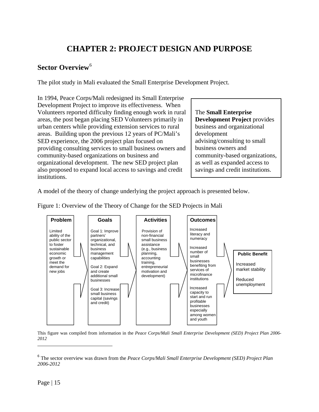## **CHAPTER 2: PROJECT DESIGN AND PURPOSE**

### <span id="page-14-0"></span>**Sector Overview<sup>[6](#page-14-1)</sup>**

The pilot study in Mali evaluated the Small Enterprise Development Project.

In 1994, Peace Corps/Mali redesigned its Small Enterprise Development Project to improve its effectiveness. When Volunteers reported difficulty finding enough work in rural areas, the post began placing SED Volunteers primarily in urban centers while providing extension services to rural areas. Building upon the previous 12 years of PC/Mali's SED experience, the 2006 project plan focused on providing consulting services to small business owners and community-based organizations on business and organizational development. The new SED project plan also proposed to expand local access to savings and credit institutions.

The **Small Enterprise Development Project** provides business and organizational development advising/consulting to small business owners and community-based organizations, as well as expanded access to savings and credit institutions.

A model of the theory of change underlying the project approach is presented below.



Figure 1: Overview of the Theory of Change for the SED Projects in Mali

This figure was compiled from information in the *Peace Corps/Mali Small Enterprise Development (SED) Project Plan 2006- 2012* 

 $\overline{a}$ 

<span id="page-14-1"></span><sup>6</sup> The sector overview was drawn from the *Peace Corps/Mali Small Enterprise Development (SED) Project Plan 2006-2012*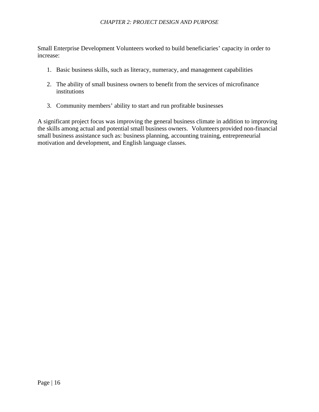Small Enterprise Development Volunteers worked to build beneficiaries' capacity in order to increase:

- 1. Basic business skills, such as literacy, numeracy, and management capabilities
- 2. The ability of small business owners to benefit from the services of microfinance institutions
- 3. Community members' ability to start and run profitable businesses

A significant project focus was improving the general business climate in addition to improving the skills among actual and potential small business owners.Volunteers provided non-financial small business assistance such as: business planning, accounting training, entrepreneurial motivation and development, and English language classes.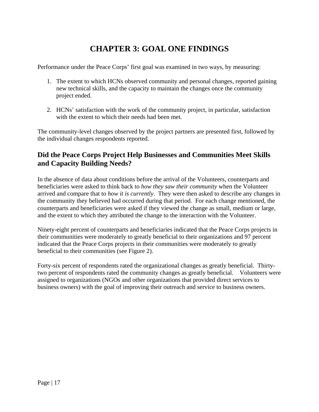## **CHAPTER 3: GOAL ONE FINDINGS**

<span id="page-16-0"></span>Performance under the Peace Corps' first goal was examined in two ways, by measuring:

- 1. The extent to which HCNs observed community and personal changes, reported gaining new technical skills, and the capacity to maintain the changes once the community project ended.
- 2. HCNs' satisfaction with the work of the community project, in particular, satisfaction with the extent to which their needs had been met.

The community-level changes observed by the project partners are presented first, followed by the individual changes respondents reported.

### **Did the Peace Corps Project Help Businesses and Communities Meet Skills and Capacity Building Needs?**

In the absence of data about conditions before the arrival of the Volunteers, counterparts and beneficiaries were asked to think back to *how they saw their community* when the Volunteer arrived and compare that to *how it is currently*. They were then asked to describe any changes in the community they believed had occurred during that period. For each change mentioned, the counterparts and beneficiaries were asked if they viewed the change as small, medium or large, and the extent to which they attributed the change to the interaction with the Volunteer.

Ninety-eight percent of counterparts and beneficiaries indicated that the Peace Corps projects in their communities were moderately to greatly beneficial to their organizations and 97 percent indicated that the Peace Corps projects in their communities were moderately to greatly beneficial to their communities (see Figure 2).

Forty-six percent of respondents rated the organizational changes as greatly beneficial. Thirtytwo percent of respondents rated the community changes as greatly beneficial. Volunteers were assigned to organizations (NGOs and other organizations that provided direct services to business owners) with the goal of improving their outreach and service to business owners.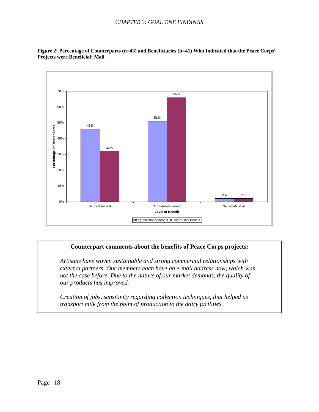

<span id="page-17-0"></span>**Figure 2: Percentage of Counterparts (n=43) and Beneficiaries (n=41) Who Indicated that the Peace Corps' Projects were Beneficial: Mali** 

### **Counterpart comments about the benefits of Peace Corps projects:**

*Artisans have woven sustainable and strong commercial relationships with external partners. Our members each have an e-mail address now, which was not the case before. Due to the nature of our market demands, the quality of our products has improved.*

*Creation of jobs, sensitivity regarding collection techniques, that helped us transport milk from the point of production to the dairy facilities.*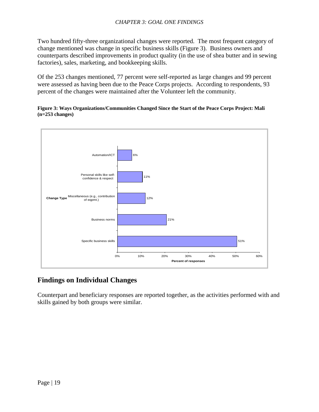<span id="page-18-0"></span>Two hundred fifty-three organizational changes were reported. The most frequent category of change mentioned was change in specific business skills (Figure 3). Business owners and counterparts described improvements in product quality (in the use of shea butter and in sewing factories), sales, marketing, and bookkeeping skills.

Of the 253 changes mentioned, 77 percent were self-reported as large changes and 99 percent were assessed as having been due to the Peace Corps projects. According to respondents, 93 percent of the changes were maintained after the Volunteer left the community.

**Figure 3: Ways Organizations/Communities Changed Since the Start of the Peace Corps Project: Mali (n=253 changes)** 



### **Findings on Individual Changes**

Counterpart and beneficiary responses are reported together, as the activities performed with and skills gained by both groups were similar.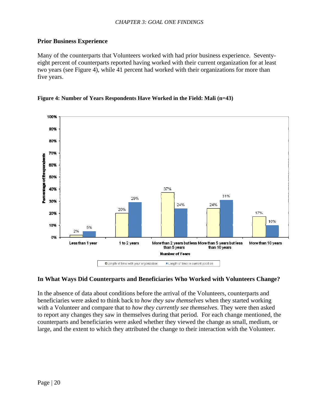### <span id="page-19-0"></span>**Prior Business Experience**

Many of the counterparts that Volunteers worked with had prior business experience. Seventyeight percent of counterparts reported having worked with their current organization for at least two years (see Figure 4), while 41 percent had worked with their organizations for more than five years.

#### **Figure 4: Number of Years Respondents Have Worked in the Field: Mali (n=43)**



#### **In What Ways Did Counterparts and Beneficiaries Who Worked with Volunteers Change?**

In the absence of data about conditions before the arrival of the Volunteers, counterparts and beneficiaries were asked to think back to *how they saw themselves* when they started working with a Volunteer and compare that to *how they currently see themselves*. They were then asked to report any changes they saw in themselves during that period. For each change mentioned, the counterparts and beneficiaries were asked whether they viewed the change as small, medium, or large, and the extent to which they attributed the change to their interaction with the Volunteer.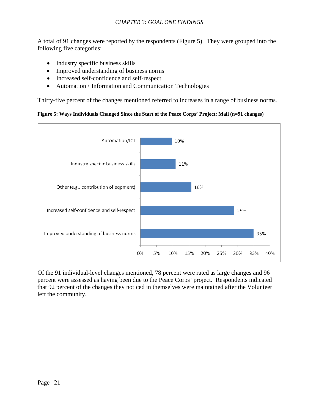<span id="page-20-0"></span>A total of 91 changes were reported by the respondents (Figure 5). They were grouped into the following five categories:

- Industry specific business skills
- Improved understanding of business norms
- Increased self-confidence and self-respect
- Automation / Information and Communication Technologies

Thirty-five percent of the changes mentioned referred to increases in a range of business norms.

#### **Figure 5: Ways Individuals Changed Since the Start of the Peace Corps' Project: Mali (n=91 changes)**



Of the 91 individual-level changes mentioned, 78 percent were rated as large changes and 96 percent were assessed as having been due to the Peace Corps' project. Respondents indicated that 92 percent of the changes they noticed in themselves were maintained after the Volunteer left the community.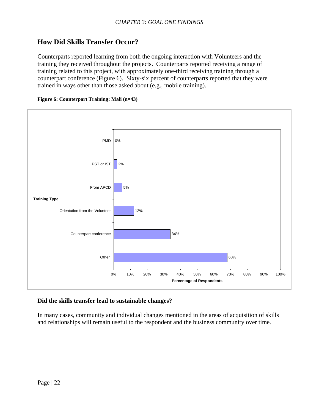### <span id="page-21-0"></span>**How Did Skills Transfer Occur?**

Counterparts reported learning from both the ongoing interaction with Volunteers and the training they received throughout the projects. Counterparts reported receiving a range of training related to this project, with approximately one-third receiving training through a counterpart conference (Figure 6). Sixty-six percent of counterparts reported that they were trained in ways other than those asked about (e.g., mobile training).





#### **Did the skills transfer lead to sustainable changes?**

In many cases, community and individual changes mentioned in the areas of acquisition of skills and relationships will remain useful to the respondent and the business community over time.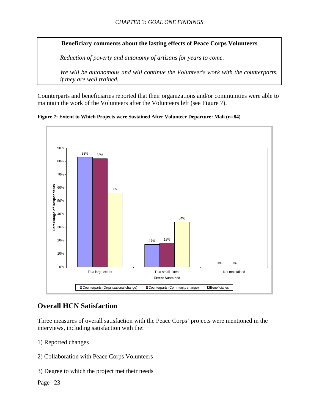<span id="page-22-0"></span>**Beneficiary comments about the lasting effects of Peace Corps Volunteers** 

*Reduction of poverty and autonomy of artisans for years to come.* 

*We will be autonomous and will continue the Volunteer's work with the counterparts, if they are well trained.* 

Counterparts and beneficiaries reported that their organizations and/or communities were able to maintain the work of the Volunteers after the Volunteers left (see Figure 7).





### **Overall HCN Satisfaction**

Three measures of overall satisfaction with the Peace Corps' projects were mentioned in the interviews, including satisfaction with the:

- 1) Reported changes
- 2) Collaboration with Peace Corps Volunteers
- 3) Degree to which the project met their needs

Page  $|23$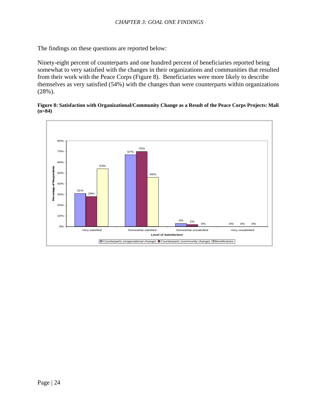<span id="page-23-0"></span>The findings on these questions are reported below:

Ninety-eight percent of counterparts and one hundred percent of beneficiaries reported being somewhat to very satisfied with the changes in their organizations and communities that resulted from their work with the Peace Corps (Figure 8). Beneficiaries were more likely to describe themselves as very satisfied (54%) with the changes than were counterparts within organizations (28%).



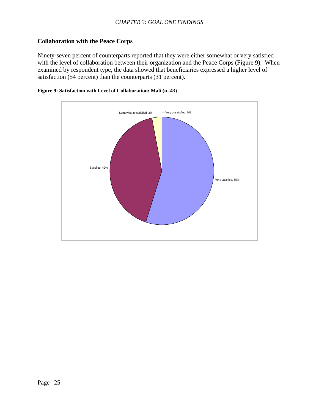### <span id="page-24-0"></span>**Collaboration with the Peace Corps**

Ninety-seven percent of counterparts reported that they were either somewhat or very satisfied with the level of collaboration between their organization and the Peace Corps (Figure 9). When examined by respondent type, the data showed that beneficiaries expressed a higher level of satisfaction (54 percent) than the counterparts (31 percent).



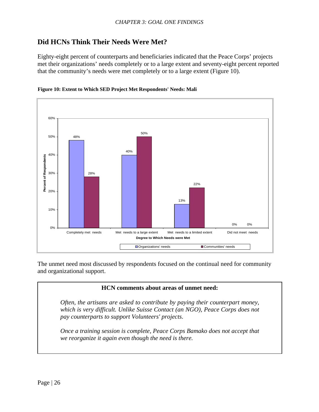### <span id="page-25-0"></span>**Did HCNs Think Their Needs Were Met?**

Eighty-eight percent of counterparts and beneficiaries indicated that the Peace Corps' projects met their organizations' needs completely or to a large extent and seventy-eight percent reported that the community's needs were met completely or to a large extent (Figure 10).



#### **Figure 10: Extent to Which SED Project Met Respondents' Needs: Mali**

The unmet need most discussed by respondents focused on the continual need for community and organizational support.

### **HCN comments about areas of unmet need:**

*Often, the artisans are asked to contribute by paying their counterpart money, which is very difficult. Unlike Suisse Contact (an NGO), Peace Corps does not pay counterparts to support Volunteers' projects*.

*Once a training session is complete, Peace Corps Bamako does not accept that we reorganize it again even though the need is there.*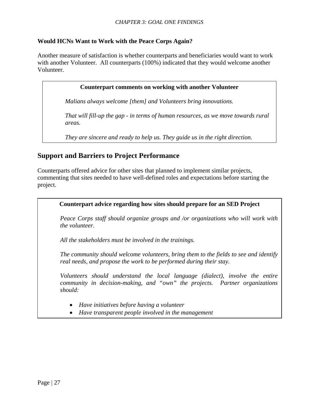### <span id="page-26-0"></span>**Would HCNs Want to Work with the Peace Corps Again?**

Another measure of satisfaction is whether counterparts and beneficiaries would want to work with another Volunteer. All counterparts (100%) indicated that they would welcome another Volunteer.

#### **Counterpart comments on working with another Volunteer**

*Malians always welcome [them] and Volunteers bring innovations.* 

*That will fill-up the gap - in terms of human resources, as we move towards rural areas.* 

*They are sincere and ready to help us. They guide us in the right direction.* 

### **Support and Barriers to Project Performance**

Counterparts offered advice for other sites that planned to implement similar projects, commenting that sites needed to have well-defined roles and expectations before starting the project.

#### **Counterpart advice regarding how sites should prepare for an SED Project**

*Peace Corps staff should organize groups and /or organizations who will work with the volunteer.* 

*All the stakeholders must be involved in the trainings.* 

*The community should welcome volunteers, bring them to the fields to see and identify real needs, and propose the work to be performed during their stay.* 

Beneficiaries and counterparts mentioned "reciprocal commitment" and collaboration between *Volunteers should understand the local language (dialect), involve the entire community in decision-making, and "own" the projects. Partner organizations should:* 

- Have initiatives before having a volunteer **and projects**.
	- *Have transparent people involved in the management*

 $\overline{\phantom{a}}$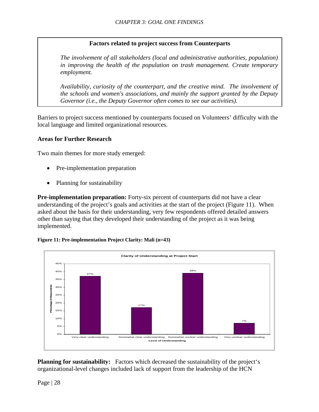### **Factors related to project success from Counterparts**

<span id="page-27-0"></span>*The involvement of all stakeholders (local and administrative authorities, population) in improving the health of the population on trash management. Create temporary employment.* 

*Availability, curiosity of the counterpart, and the creative mind. The involvement of the schools and women's associations, and mainly the support granted by the Deputy Governor (i.e., the Deputy Governor often comes to see our activities).* 

Barriers to project success mentioned by counterparts focused on Volunteers' difficulty with the local language and limited organizational resources.

#### **Areas for Further Research**

Two main themes for more study emerged:

- Pre-implementation preparation
- Planning for sustainability

**Pre-implementation preparation:** Forty-six percent of counterparts did not have a clear understanding of the project's goals and activities at the start of the project (Figure 11). When asked about the basis for their understanding, very few respondents offered detailed answers other than saying that they developed their understanding of the project as it was being implemented.

#### **Figure 11: Pre-implementation Project Clarity: Mali (n=43)**



**Planning for sustainability:** Factors which decreased the sustainability of the project's organizational-level changes included lack of support from the leadership of the HCN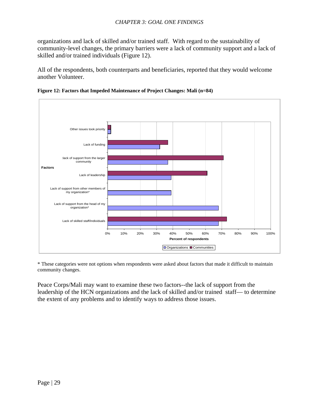<span id="page-28-0"></span>organizations and lack of skilled and/or trained staff. With regard to the sustainability of community-level changes, the primary barriers were a lack of community support and a lack of skilled and/or trained individuals (Figure 12).

All of the respondents, both counterparts and beneficiaries, reported that they would welcome another Volunteer.





\* These categories were not options when respondents were asked about factors that made it difficult to maintain community changes.

Peace Corps/Mali may want to examine these two factors--the lack of support from the leadership of the HCN organizations and the lack of skilled and/or trained staff— to determine the extent of any problems and to identify ways to address those issues.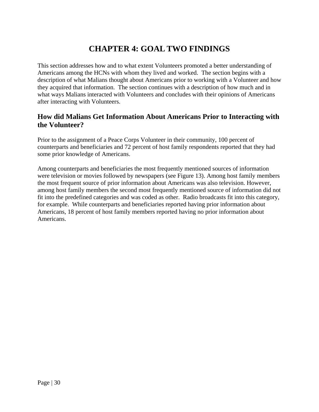## **CHAPTER 4: GOAL TWO FINDINGS**

<span id="page-29-0"></span>This section addresses how and to what extent Volunteers promoted a better understanding of Americans among the HCNs with whom they lived and worked. The section begins with a description of what Malians thought about Americans prior to working with a Volunteer and how they acquired that information. The section continues with a description of how much and in what ways Malians interacted with Volunteers and concludes with their opinions of Americans after interacting with Volunteers.

### **How did Malians Get Information About Americans Prior to Interacting with the Volunteer?**

Prior to the assignment of a Peace Corps Volunteer in their community, 100 percent of counterparts and beneficiaries and 72 percent of host family respondents reported that they had some prior knowledge of Americans.

Among counterparts and beneficiaries the most frequently mentioned sources of information were television or movies followed by newspapers (see Figure 13). Among host family members the most frequent source of prior information about Americans was also television. However, among host family members the second most frequently mentioned source of information did not fit into the predefined categories and was coded as other. Radio broadcasts fit into this category, for example. While counterparts and beneficiaries reported having prior information about Americans, 18 percent of host family members reported having no prior information about Americans.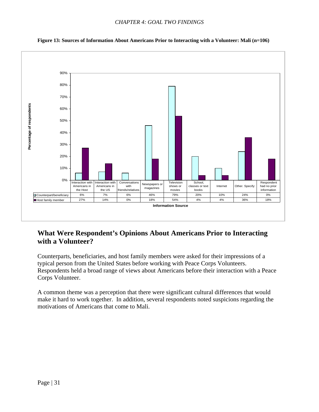<span id="page-30-0"></span>

**Figure 13: Sources of Information About Americans Prior to Interacting with a Volunteer: Mali (n=106)** 

### **What Were Respondent's Opinions About Americans Prior to Interacting with a Volunteer?**

Counterparts, beneficiaries, and host family members were asked for their impressions of a typical person from the United States before working with Peace Corps Volunteers. Respondents held a broad range of views about Americans before their interaction with a Peace Corps Volunteer.

A common theme was a perception that there were significant cultural differences that would make it hard to work together. In addition, several respondents noted suspicions regarding the motivations of Americans that come to Mali.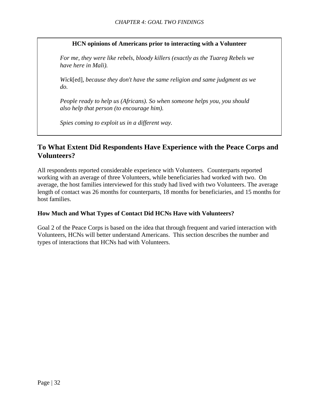### **HCN opinions of Americans prior to interacting with a Volunteer**

<span id="page-31-0"></span>*For me, they were like rebels, bloody killers (exactly as the Tuareg Rebels we have here in Mali).*

*Wick*[ed]*, because they don't have the same religion and same judgment as we do.* 

*People ready to help us (Africans). So when someone helps you, you should also help that person (to encourage him).* 

*Spies coming to exploit us in a different way.* 

### **To What Extent Did Respondents Have Experience with the Peace Corps and Volunteers?**

All respondents reported considerable experience with Volunteers. Counterparts reported working with an average of three Volunteers, while beneficiaries had worked with two. On average, the host families interviewed for this study had lived with two Volunteers. The average length of contact was 26 months for counterparts, 18 months for beneficiaries, and 15 months for host families.

#### **How Much and What Types of Contact Did HCNs Have with Volunteers?**

Goal 2 of the Peace Corps is based on the idea that through frequent and varied interaction with Volunteers, HCNs will better understand Americans. This section describes the number and types of interactions that HCNs had with Volunteers.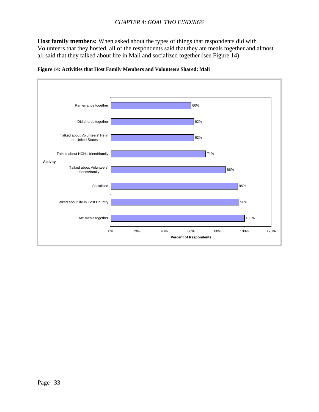<span id="page-32-0"></span>**Host family members:** When asked about the types of things that respondents did with Volunteers that they hosted, all of the respondents said that they ate meals together and almost all said that they talked about life in Mali and socialized together (see Figure 14).



**Figure 14: Activities that Host Family Members and Volunteers Shared: Mali**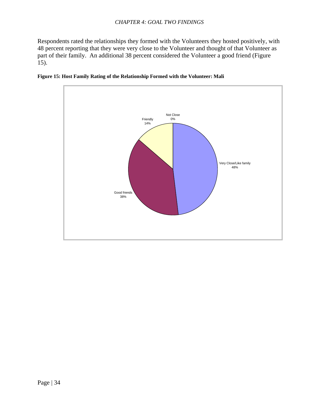<span id="page-33-0"></span>Respondents rated the relationships they formed with the Volunteers they hosted positively, with 48 percent reporting that they were very close to the Volunteer and thought of that Volunteer as part of their family. An additional 38 percent considered the Volunteer a good friend (Figure 15).



**Figure 15: Host Family Rating of the Relationship Formed with the Volunteer: Mali**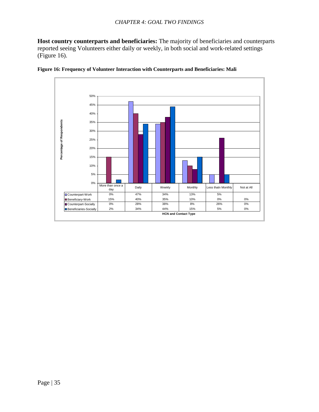<span id="page-34-0"></span>**Host country counterparts and beneficiaries:** The majority of beneficiaries and counterparts reported seeing Volunteers either daily or weekly, in both social and work-related settings (Figure 16).



**Figure 16: Frequency of Volunteer Interaction with Counterparts and Beneficiaries: Mali**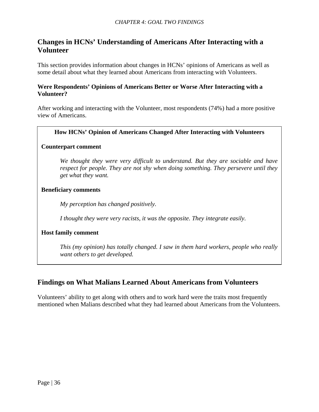### <span id="page-35-0"></span>**Changes in HCNs' Understanding of Americans After Interacting with a Volunteer**

This section provides information about changes in HCNs' opinions of Americans as well as some detail about what they learned about Americans from interacting with Volunteers.

### **Were Respondents' Opinions of Americans Better or Worse After Interacting with a Volunteer?**

After working and interacting with the Volunteer, most respondents (74%) had a more positive view of Americans.

### **How HCNs' Opinion of Americans Changed After Interacting with Volunteers**

### **Counterpart comment**

*We thought they were very difficult to understand. But they are sociable and have respect for people. They are not shy when doing something. They persevere until they get what they want.* 

### **Beneficiary comments**

*My perception has changed positively.* 

*I thought they were very racists, it was the opposite. They integrate easily.* 

### **Host family comment**

*This (my opinion) has totally changed. I saw in them hard workers, people who really want others to get developed.* 

### **Findings on What Malians Learned About Americans from Volunteers**

Volunteers' ability to get along with others and to work hard were the traits most frequently mentioned when Malians described what they had learned about Americans from the Volunteers.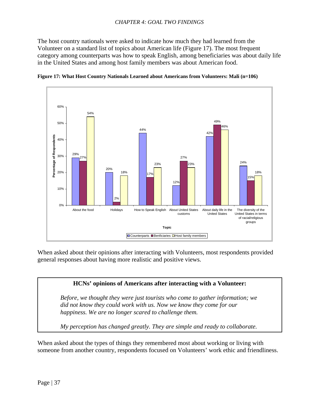<span id="page-36-0"></span>The host country nationals were asked to indicate how much they had learned from the Volunteer on a standard list of topics about American life (Figure 17). The most frequent category among counterparts was how to speak English, among beneficiaries was about daily life in the United States and among host family members was about American food.





When asked about their opinions after interacting with Volunteers, most respondents provided general responses about having more realistic and positive views.

### **HCNs' opinions of Americans after interacting with a Volunteer:**

*Before, we thought they were just tourists who come to gather information; we did not know they could work with us. Now we know they come for our happiness. We are no longer scared to challenge them.* 

*My perception has changed greatly. They are simple and ready to collaborate.* 

When asked about the types of things they remembered most about working or living with someone from another country, respondents focused on Volunteers' work ethic and friendliness.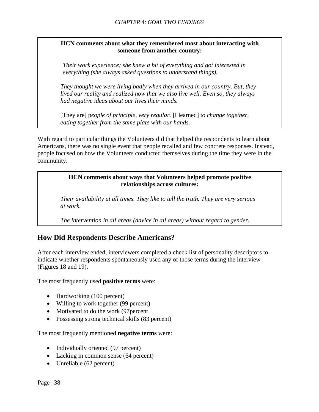### <span id="page-37-0"></span>**HCN comments about what they remembered most about interacting with someone from another country:**

*Their work experience; she knew a bit of everything and got interested in everything (she always asked questions to understand things).*

*They thought we were living badly when they arrived in our country. But, they lived our reality and realized now that we also live well. Even so, they always had negative ideas about our lives their minds.*

[They are] p*eople of principle, very regular.* [I learned] t*o change together, eating together from the same plate with our hands.*

With regard to particular things the Volunteers did that helped the respondents to learn about Americans, there was no single event that people recalled and few concrete responses. Instead, people focused on how the Volunteers conducted themselves during the time they were in the community.

### **HCN comments about ways that Volunteers helped promote positive relationships across cultures:**

*Their availability at all times. They like to tell the truth. They are very serious at work.*

*The intervention in all areas (advice in all areas) without regard to gender.* 

### **How Did Respondents Describe Americans?**

After each interview ended, interviewers completed a check list of personality descriptors to indicate whether respondents spontaneously used any of those terms during the interview (Figures 18 and 19).

The most frequently used **positive terms** were:

- Hardworking (100 percent)
- Willing to work together (99 percent)
- Motivated to do the work (97 percent
- Possessing strong technical skills (83 percent)

The most frequently mentioned **negative terms** were:

- Individually oriented (97 percent)
- Lacking in common sense (64 percent)
- Unreliable (62 percent)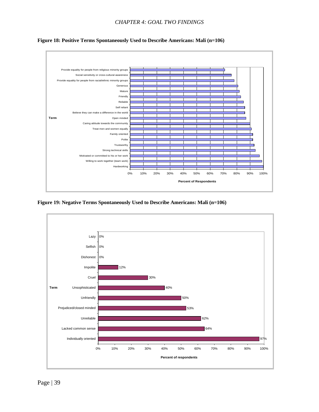

<span id="page-38-0"></span>**Figure 18: Positive Terms Spontaneously Used to Describe Americans: Mali (n=106)** 

**Figure 19: Negative Terms Spontaneously Used to Describe Americans: Mali (n=106)** 

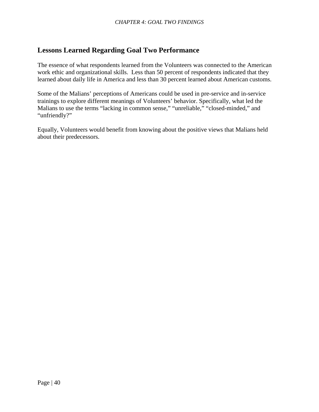### <span id="page-39-0"></span>Lessons Learned Regarding Goal Two Performance

learned about daily life in America and less than 30 percent learned about American customs. The essence of what respondents learned from the Volunteers was connected to the American work ethic and organizational skills. Less than 50 percent of respondents indicated that they

Malians to use the terms "lacking in common sense," "unreliable," "closed-minded," and "unfriendly?" Some of the Malians' perceptions of Americans could be used in pre-service and in-service trainings to explore different meanings of Volunteers' behavior. Specifically, what led the

Equally, Volunteers would benefit from knowing about the positive views that Malians held about their predecessors.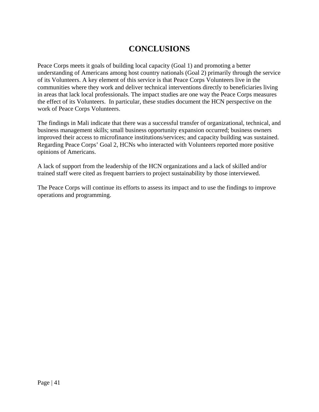## **CONCLUSIONS**

<span id="page-40-0"></span>Peace Corps meets it goals of building local capacity (Goal 1) and promoting a better understanding of Americans among host country nationals (Goal 2) primarily through the service of its Volunteers. A key element of this service is that Peace Corps Volunteers live in the communities where they work and deliver technical interventions directly to beneficiaries living in areas that lack local professionals. The impact studies are one way the Peace Corps measures the effect of its Volunteers. In particular, these studies document the HCN perspective on the work of Peace Corps Volunteers.

The findings in Mali indicate that there was a successful transfer of organizational, technical, and business management skills; small business opportunity expansion occurred; business owners improved their access to microfinance institutions/services; and capacity building was sustained. Regarding Peace Corps' Goal 2, HCNs who interacted with Volunteers reported more positive opinions of Americans.

A lack of support from the leadership of the HCN organizations and a lack of skilled and/or trained staff were cited as frequent barriers to project sustainability by those interviewed.

The Peace Corps will continue its efforts to assess its impact and to use the findings to improve operations and programming.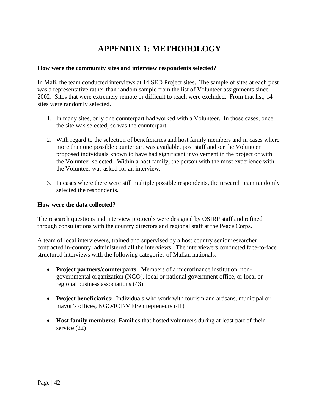#### <span id="page-41-0"></span>**How were the community sites and interview respondents selected?**

In Mali, the team conducted interviews at 14 SED Project sites. The sample of sites at each post was a representative rather than random sample from the list of Volunteer assignments since 2002. Sites that were extremely remote or difficult to reach were excluded. From that list, 14 sites were randomly selected.

- 1. In many sites, only one counterpart had worked with a Volunteer. In those cases, once the site was selected, so was the counterpart.
- 2. With regard to the selection of beneficiaries and host family members and in cases where more than one possible counterpart was available, post staff and /or the Volunteer proposed individuals known to have had significant involvement in the project or with the Volunteer selected. Within a host family, the person with the most experience with the Volunteer was asked for an interview.
- 3. In cases where there were still multiple possible respondents, the research team randomly selected the respondents.

#### **How were the data collected?**

The research questions and interview protocols were designed by OSIRP staff and refined through consultations with the country directors and regional staff at the Peace Corps.

A team of local interviewers, trained and supervised by a host country senior researcher contracted in-country, administered all the interviews. The interviewers conducted face-to-face structured interviews with the following categories of Malian nationals:

- **Project partners/counterparts**: Members of a microfinance institution, nongovernmental organization (NGO), local or national government office, or local or regional business associations (43)
- **Project beneficiaries:** Individuals who work with tourism and artisans, municipal or mayor's offices, NGO/ICT/MFI/entrepreneurs (41)
- **Host family members:** Families that hosted volunteers during at least part of their service (22)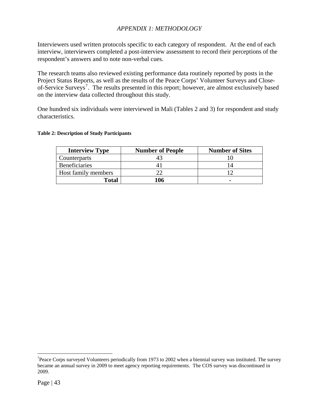<span id="page-42-0"></span>Interviewers used written protocols specific to each category of respondent. At the end of each interview, interviewers completed a post-interview assessment to record their perceptions of the respondent's answers and to note non-verbal cues.

The research teams also reviewed existing performance data routinely reported by posts in the Project Status Reports, as well as the results of the Peace Corps' Volunteer Surveys and Close-of-Service Surveys<sup>[7](#page-42-0)</sup>. The results presented in this report; however, are almost exclusively based on the interview data collected throughout this study.

One hundred six individuals were interviewed in Mali (Tables 2 and 3) for respondent and study characteristics.

#### **Table 2: Description of Study Participants**

| <b>Interview Type</b> | <b>Number of People</b> | <b>Number of Sites</b> |
|-----------------------|-------------------------|------------------------|
| Counterparts          |                         |                        |
| <b>Beneficiaries</b>  |                         |                        |
| Host family members   |                         |                        |
| Total                 | 106                     |                        |

 $\overline{a}$ 

 $7$ Peace Corps surveyed Volunteers periodically from 1973 to 2002 when a biennial survey was instituted. The survey became an annual survey in 2009 to meet agency reporting requirements. The COS survey was discontinued in 2009.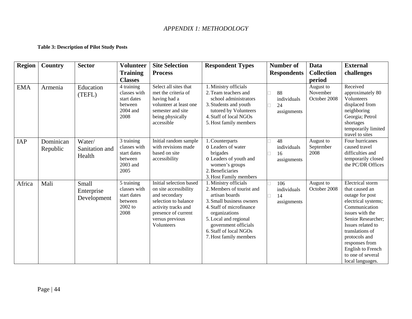### **Table 3: Description of Pilot Study Posts**

<span id="page-43-0"></span>

| <b>Region</b> | Country               | <b>Sector</b>                      | <b>Volunteer</b><br><b>Training</b>                                       | <b>Site Selection</b><br><b>Process</b>                                                                                                                                  | <b>Respondent Types</b>                                                                                                                                                                                                                            | <b>Number of</b><br><b>Respondents</b>  | Data<br><b>Collection</b>             | <b>External</b><br>challenges                                                                                                                                                                                                                                                          |
|---------------|-----------------------|------------------------------------|---------------------------------------------------------------------------|--------------------------------------------------------------------------------------------------------------------------------------------------------------------------|----------------------------------------------------------------------------------------------------------------------------------------------------------------------------------------------------------------------------------------------------|-----------------------------------------|---------------------------------------|----------------------------------------------------------------------------------------------------------------------------------------------------------------------------------------------------------------------------------------------------------------------------------------|
|               |                       |                                    | <b>Classes</b>                                                            |                                                                                                                                                                          |                                                                                                                                                                                                                                                    |                                         | period                                |                                                                                                                                                                                                                                                                                        |
| <b>EMA</b>    | Armenia               | Education<br>(TEFL)                | 4 training<br>classes with<br>start dates<br>between<br>2004 and<br>2008  | Select all sites that<br>met the criteria of<br>having had a<br>volunteer at least one<br>semester and site<br>being physically<br>accessible                            | 1. Ministry officials<br>2. Team teachers and<br>school administrators<br>3. Students and youth<br>tutored by Volunteers<br>4. Staff of local NGOs<br>5. Host family members                                                                       | 88<br>individuals<br>24<br>assignments  | August to<br>November<br>October 2008 | Received<br>approximately 80<br>Volunteers<br>displaced from<br>neighboring<br>Georgia; Petrol<br>shortages<br>temporarily limited<br>travel to sites                                                                                                                                  |
| IAP           | Dominican<br>Republic | Water/<br>Sanitation and<br>Health | 3 training<br>classes with<br>start dates<br>between<br>2003 and<br>2005  | Initial random sample<br>with revisions made<br>based on site<br>accessibility                                                                                           | 1. Counterparts<br>o Leaders of water<br>brigades<br>o Leaders of youth and<br>women's groups<br>2. Beneficiaries<br>3. Host Family members                                                                                                        | 48<br>individuals<br>16<br>assignments  | August to<br>September<br>2008        | Four hurricanes<br>caused travel<br>difficulties and<br>temporarily closed<br>the PC/DR Offices                                                                                                                                                                                        |
| Africa        | Mali                  | Small<br>Enterprise<br>Development | 5 training<br>classes with<br>start dates<br>between<br>$2002$ to<br>2008 | Initial selection based<br>on site accessibility<br>and secondary<br>selection to balance<br>activity tracks and<br>presence of current<br>versus previous<br>Volunteers | 1. Ministry officials<br>2. Members of tourist and<br>artisan boards<br>3. Small business owners<br>4. Staff of microfinance<br>organizations<br>5. Local and regional<br>government officials<br>6. Staff of local NGOs<br>7. Host family members | 106<br>individuals<br>14<br>assignments | August to<br>October 2008             | <b>Electrical</b> storm<br>that caused an<br>outage for post<br>electrical systems;<br>Communication<br>issues with the<br>Senior Researcher;<br>Issues related to<br>translations of<br>protocols and<br>responses from<br>English to French<br>to one of several<br>local languages. |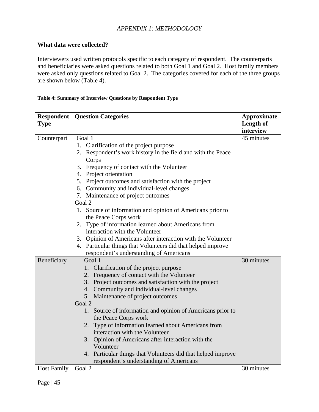#### <span id="page-44-0"></span>**What data were collected?**

Interviewers used written protocols specific to each category of respondent. The counterparts and beneficiaries were asked questions related to both Goal 1 and Goal 2. Host family members were asked only questions related to Goal 2. The categories covered for each of the three groups are shown below (Table 4).

#### **Table 4: Summary of Interview Questions by Respondent Type**

| <b>Respondent</b>  | <b>Question Categories</b>                                                      | <b>Approximate</b>     |
|--------------------|---------------------------------------------------------------------------------|------------------------|
| <b>Type</b>        |                                                                                 | Length of<br>interview |
| Counterpart        | Goal 1                                                                          | 45 minutes             |
|                    | 1. Clarification of the project purpose                                         |                        |
|                    | 2. Respondent's work history in the field and with the Peace                    |                        |
|                    | Corps                                                                           |                        |
|                    | 3. Frequency of contact with the Volunteer                                      |                        |
|                    | 4. Project orientation                                                          |                        |
|                    | 5. Project outcomes and satisfaction with the project                           |                        |
|                    | 6. Community and individual-level changes                                       |                        |
|                    | 7. Maintenance of project outcomes                                              |                        |
|                    | Goal 2                                                                          |                        |
|                    | 1. Source of information and opinion of Americans prior to                      |                        |
|                    | the Peace Corps work                                                            |                        |
|                    | 2. Type of information learned about Americans from                             |                        |
|                    | interaction with the Volunteer                                                  |                        |
|                    | 3. Opinion of Americans after interaction with the Volunteer                    |                        |
|                    | 4. Particular things that Volunteers did that helped improve                    |                        |
|                    | respondent's understanding of Americans                                         |                        |
| Beneficiary        | Goal 1                                                                          | 30 minutes             |
|                    | 1. Clarification of the project purpose                                         |                        |
|                    | 2. Frequency of contact with the Volunteer                                      |                        |
|                    | 3. Project outcomes and satisfaction with the project                           |                        |
|                    | 4. Community and individual-level changes                                       |                        |
|                    | 5. Maintenance of project outcomes<br>Goal 2                                    |                        |
|                    | 1.                                                                              |                        |
|                    | Source of information and opinion of Americans prior to<br>the Peace Corps work |                        |
|                    | Type of information learned about Americans from<br>2.                          |                        |
|                    | interaction with the Volunteer                                                  |                        |
|                    | 3. Opinion of Americans after interaction with the                              |                        |
|                    | Volunteer                                                                       |                        |
|                    | 4. Particular things that Volunteers did that helped improve                    |                        |
|                    | respondent's understanding of Americans                                         |                        |
| <b>Host Family</b> | Goal 2                                                                          | 30 minutes             |